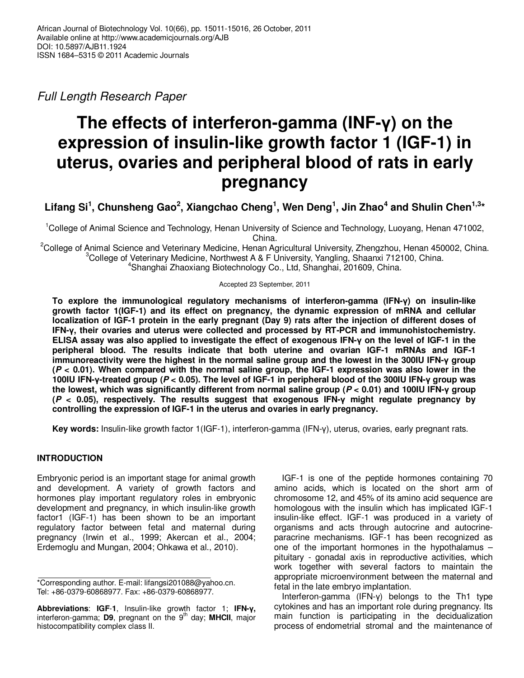Full Length Research Paper

# **The effects of interferon-gamma (INF-γ) on the expression of insulin-like growth factor 1 (IGF-1) in uterus, ovaries and peripheral blood of rats in early pregnancy**

Lifang Si<sup>1</sup>, Chunsheng Gao<sup>2</sup>, Xiangchao Cheng<sup>1</sup>, Wen Deng<sup>1</sup>, Jin Zhao<sup>4</sup> and Shulin Chen<sup>1,3</sup>\*

<sup>1</sup>College of Animal Science and Technology, Henan University of Science and Technology, Luoyang, Henan 471002, China.

<sup>2</sup>College of Animal Science and Veterinary Medicine, Henan Agricultural University, Zhengzhou, Henan 450002, China.  $3$ College of Veterinary Medicine, Northwest A & F University, Yangling, Shaanxi 712100, China. <sup>4</sup>Shanghai Zhaoxiang Biotechnology Co., Ltd, Shanghai, 201609, China.

Accepted 23 September, 2011

**To explore the immunological regulatory mechanisms of interferon-gamma (IFN-γ) on insulin-like growth factor 1(IGF-1) and its effect on pregnancy, the dynamic expression of mRNA and cellular localization of IGF-1 protein in the early pregnant (Day 9) rats after the injection of different doses of IFN-γ, their ovaries and uterus were collected and processed by RT-PCR and immunohistochemistry. ELISA assay was also applied to investigate the effect of exogenous IFN-γ on the level of IGF-1 in the peripheral blood. The results indicate that both uterine and ovarian IGF-1 mRNAs and IGF-1 immunoreactivity were the highest in the normal saline group and the lowest in the 300IU IFN-γ group (P < 0.01). When compared with the normal saline group, the IGF-1 expression was also lower in the 100IU IFN-γ-treated group (P < 0.05). The level of IGF-1 in peripheral blood of the 300IU IFN-γ group was the lowest, which was significantly different from normal saline group (P < 0.01) and 100IU IFN-γ group (P < 0.05), respectively. The results suggest that exogenous IFN-γ might regulate pregnancy by controlling the expression of IGF-1 in the uterus and ovaries in early pregnancy.** 

**Key words:** Insulin-like growth factor 1(IGF-1), interferon-gamma (IFN-γ), uterus, ovaries, early pregnant rats.

## **INTRODUCTION**

Embryonic period is an important stage for animal growth and development. A variety of growth factors and hormones play important regulatory roles in embryonic development and pregnancy, in which insulin-like growth factor1 (IGF-1) has been shown to be an important regulatory factor between fetal and maternal during pregnancy (Irwin et al., 1999; Akercan et al., 2004; Erdemoglu and Mungan, 2004; Ohkawa et al., 2010).

IGF-1 is one of the peptide hormones containing 70 amino acids, which is located on the short arm of chromosome 12, and 45% of its amino acid sequence are homologous with the insulin which has implicated IGF-1 insulin-like effect. IGF-1 was produced in a variety of organisms and acts through autocrine and autocrineparacrine mechanisms. IGF-1 has been recognized as one of the important hormones in the hypothalamus – pituitary - gonadal axis in reproductive activities, which work together with several factors to maintain the appropriate microenvironment between the maternal and fetal in the late embryo implantation.

Interferon-gamma (IFN-γ) belongs to the Th1 type cytokines and has an important role during pregnancy. Its main function is participating in the decidualization process of endometrial stromal and the maintenance of

<sup>\*</sup>Corresponding author. E-mail: lifangsi201088@yahoo.cn. Tel: +86-0379-60868977. Fax: +86-0379-60868977.

**Abbreviations**: **IGF**-**1**, Insulin-like growth factor 1; **IFN-γ,**  interferon-gamma; D9, pregnant on the 9<sup>th</sup> day; MHCII, major histocompatibility complex class II.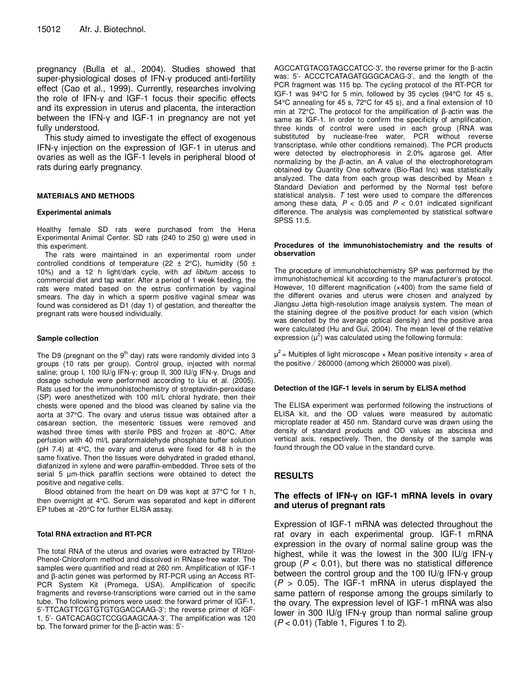pregnancy (Bulla et al., 2004). Studies showed that super-physiological doses of IFN-γ produced anti-fertility effect (Cao et al., 1999). Currently, researches involving the role of IFN-γ and IGF-1 focus their specific effects and its expression in uterus and placenta, the interaction between the IFN-γ and IGF-1 in pregnancy are not yet fully understood.

This study aimed to investigate the effect of exogenous IFN-γ injection on the expression of IGF-1 in uterus and ovaries as well as the IGF-1 levels in peripheral blood of rats during early pregnancy.

## **MATERIALS AND METHODS**

### **Experimental animals**

Healthy female SD rats were purchased from the Hena Experimental Animal Center. SD rats (240 to 250 g) were used in this experiment.

The rats were maintained in an experimental room under controlled conditions of temperature (22  $\pm$  2°C), humidity (50  $\pm$ 10%) and a 12 h light/dark cycle, with ad libitum access to commercial diet and tap water. After a period of 1 week feeding, the rats were mated based on the estrus confirmation by vaginal smears. The day in which a sperm positive vaginal smear was found was considered as D1 (day 1) of gestation, and thereafter the pregnant rats were housed individually.

### **Sample collection**

The D9 (pregnant on the  $9<sup>th</sup>$  day) rats were randomly divided into 3 groups (10 rats per group). Control group, injected with normal saline; group I, 100 IU/g IFN-γ; group II, 300 IU/g IFN-γ. Drugs and dosage schedule were performed according to Liu et al. (2005). Rats used for the immunohistochemistry of streptavidin-peroxidase (SP) were anesthetized with 100 ml/L chloral hydrate, then their chests were opened and the blood was cleaned by saline via the aorta at 37°C. The ovary and uterus tissue was obtained after a cesarean section, the mesenteric tissues were removed and washed three times with sterile PBS and frozen at -80°C. After perfusion with 40 ml/L paraformaldehyde phosphate buffer solution (pH 7.4) at 4°C, the ovary and uterus were fixed for 48 h in the same fixative. Then the tissues were dehydrated in graded ethanol, diafanized in xylene and were paraffin-embedded. Three sets of the serial 5 µm-thick paraffin sections were obtained to detect the positive and negative cells.

Blood obtained from the heart on D9 was kept at 37°C for 1 h, then overnight at 4°C. Serum was separated and kept in different EP tubes at -20°C for further ELISA assay.

## **Total RNA extraction and RT-PCR**

The total RNA of the uterus and ovaries were extracted by TRIzol-Phenol-Chloroform method and dissolved in RNase-free water. The samples were quantified and read at 260 nm. Amplification of IGF-1 and β-actin genes was performed by RT-PCR using an Access RT-PCR System Kit (Promega, USA). Amplification of specific fragments and reverse-transcriptions were carried out in the same tube. The following primers were used: the forward primer of IGF-1, 5'-TTCAGTTCGTGTGTGGACCAAG-3'; the reverse primer of IGF-1, 5'- GATCACAGCTCCGGAAGCAA-3'. The amplification was 120 bp. The forward primer for the β-actin was: 5'-

AGCCATGTACGTAGCCATCC-3′, the reverse primer for the β-actin was: 5'- ACCCTCATAGATGGGCACAG-3', and the length of the PCR fragment was 115 bp. The cycling protocol of the RT-PCR for IGF-1 was 94°C for 5 min, followed by 35 cycles (94°C for 45 s, 54°C annealing for 45 s, 72°C for 45 s), and a final extension of 10 min at 72°C. The protocol for the amplification of β-actin was the same as IGF-1. In order to confirm the specificity of amplification, three kinds of control were used in each group (RNA was substituted by nuclease-free water, PCR without reverse transcriptase, while other conditions remained). The PCR products were detected by electrophoresis in 2.0% agarose gel. After normalizing by the *β*-actin, an A value of the electrophoretogram obtained by Quantity One software (Bio-Rad Inc) was statistically analyzed. The data from each group was described by Mean  $\pm$ Standard Deviation and performed by the Normal test before statistical analysis.  $T$  test were used to compare the differences among these data,  $P < 0.05$  and  $P < 0.01$  indicated significant difference. The analysis was complemented by statistical software SPSS 11.5.

#### **Procedures of the immunohistochemistry and the results of observation**

The procedure of immunohistochemistry SP was performed by the immunohistochemical kit according to the manufacturer's protocol. However, 10 different magnification (x400) from the same field of the different ovaries and uterus were chosen and analyzed by Jiangsu Jetta high-resolution image analysis system. The mean of the staining degree of the positive product for each vision (which was denoted by the average optical density) and the positive area were calculated (Hu and Gui, 2004). The mean level of the relative expression  $(\mu^2)$  was calculated using the following formula:

 $\mu^2$  = Multiples of light microscope  $\times$  Mean positive intensity  $\times$  area of the positive / 260000 (among which 260000 was pixel).

#### **Detection of the IGF-1 levels in serum by ELISA method**

The ELISA experiment was performed following the instructions of ELISA kit, and the OD values were measured by automatic microplate reader at 450 nm. Standard curve was drawn using the density of standard products and OD values as abscissa and vertical axis, respectively. Then, the density of the sample was found through the OD value in the standard curve.

## **RESULTS**

## **The effects of IFN-γ on IGF-1 mRNA levels in ovary and uterus of pregnant rats**

Expression of IGF-1 mRNA was detected throughout the rat ovary in each experimental group. IGF-1 mRNA expression in the ovary of normal saline group was the highest, while it was the lowest in the 300 IU/g IFN-γ group ( $P < 0.01$ ), but there was no statistical difference between the control group and the 100 IU/g IFN-γ group  $(P > 0.05)$ . The IGF-1 mRNA in uterus displayed the same pattern of response among the groups similarly to the ovary. The expression level of IGF-1 mRNA was also lower in 300 IU/g IFN-γ group than normal saline group  $(P < 0.01)$  (Table 1, Figures 1 to 2).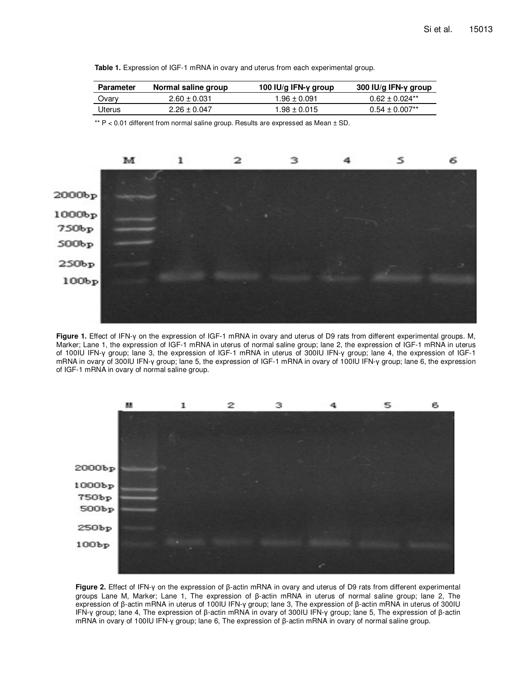|  | Table 1. Expression of IGF-1 mRNA in ovary and uterus from each experimental group. |
|--|-------------------------------------------------------------------------------------|
|--|-------------------------------------------------------------------------------------|

| <b>Parameter</b> | Normal saline group | 100 IU/g IFN-y group | 300 IU/g IFN-y group           |
|------------------|---------------------|----------------------|--------------------------------|
| Ovary            | $2.60 \pm 0.031$    | $1.96 \pm 0.091$     | $0.62 \pm 0.024$ <sup>**</sup> |
| <b>Uterus</b>    | $2.26 \pm 0.047$    | $1.98 \pm 0.015$     | $0.54 \pm 0.007$ <sup>**</sup> |

\*\*  $P < 0.01$  different from normal saline group. Results are expressed as Mean  $\pm$  SD.



**Figure 1.** Effect of IFN-γ on the expression of IGF-1 mRNA in ovary and uterus of D9 rats from different experimental groups. M, Marker; Lane 1, the expression of IGF-1 mRNA in uterus of normal saline group; lane 2, the expression of IGF-1 mRNA in uterus of 100IU IFN-γ group; lane 3, the expression of IGF-1 mRNA in uterus of 300IU IFN-γ group; lane 4, the expression of IGF-1 mRNA in ovary of 300IU IFN-γ group; lane 5, the expression of IGF-1 mRNA in ovary of 100IU IFN-γ group; lane 6, the expression of IGF-1 mRNA in ovary of normal saline group.



**Figure 2.** Effect of IFN-γ on the expression of β-actin mRNA in ovary and uterus of D9 rats from different experimental groups Lane M, Marker; Lane 1, The expression of β-actin mRNA in uterus of normal saline group; lane 2, The expression of β-actin mRNA in uterus of 100IU IFN-γ group; lane 3, The expression of β-actin mRNA in uterus of 300IU IFN-γ group; lane 4, The expression of β-actin mRNA in ovary of 300IU IFN-γ group; lane 5, The expression of β-actin mRNA in ovary of 100IU IFN-γ group; lane 6, The expression of β-actin mRNA in ovary of normal saline group.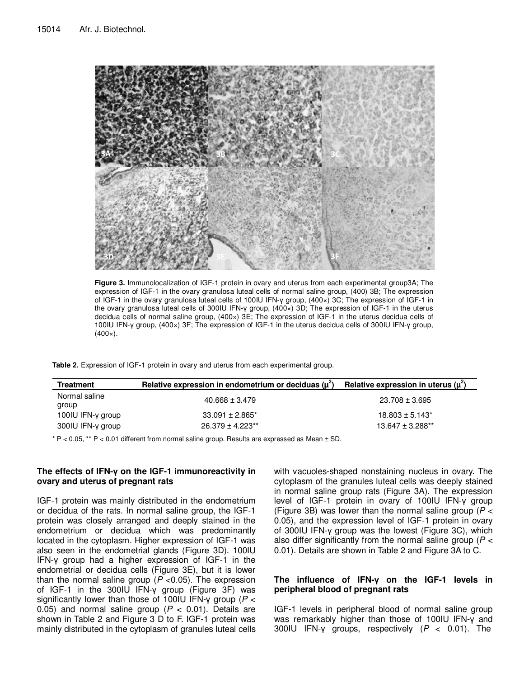

**Figure 3.** Immunolocalization of IGF-1 protein in ovary and uterus from each experimental group3A; The expression of IGF-1 in the ovary granulosa luteal cells of normal saline group, (400) 3B; The expression of IGF-1 in the ovary granulosa luteal cells of 100IU IFN-γ group, (400×) 3C; The expression of IGF-1 in the ovary granulosa luteal cells of 300IU IFN-γ group, (400×) 3D; The expression of IGF-1 in the uterus decidua cells of normal saline group, (400×) 3E; The expression of IGF-1 in the uterus decidua cells of 100IU IFN-γ group, (400×) 3F; The expression of IGF-1 in the uterus decidua cells of 300IU IFN-γ group,  $(400x)$ .

**Table 2.** Expression of IGF-1 protein in ovary and uterus from each experimental group.

| <b>Treatment</b>       | Relative expression in endometrium or deciduas $(\mu^2)$ | Relative expression in uterus $(\mu^2)$ |
|------------------------|----------------------------------------------------------|-----------------------------------------|
| Normal saline<br>group | $40.668 \pm 3.479$                                       | 23.708 ± 3.695                          |
| 100IU IFN-y group      | $33.091 \pm 2.865^*$                                     | $18.803 \pm 5.143^*$                    |
| 300IU IFN-y group      | $26.379 \pm 4.223**$                                     | $13.647 \pm 3.288$ <sup>**</sup>        |

 $* P < 0.05$ ,  $** P < 0.01$  different from normal saline group. Results are expressed as Mean  $\pm$  SD.

## **The effects of IFN-γ on the IGF-1 immunoreactivity in ovary and uterus of pregnant rats**

IGF-1 protein was mainly distributed in the endometrium or decidua of the rats. In normal saline group, the IGF-1 protein was closely arranged and deeply stained in the endometrium or decidua which was predominantly located in the cytoplasm. Higher expression of IGF-1 was also seen in the endometrial glands (Figure 3D). 100IU IFN-γ group had a higher expression of IGF-1 in the endometrial or decidua cells (Figure 3E), but it is lower than the normal saline group ( $P$  <0.05). The expression of IGF-1 in the 300IU IFN-γ group (Figure 3F) was significantly lower than those of 100IU IFN- $\gamma$  group ( $P <$ 0.05) and normal saline group ( $P < 0.01$ ). Details are shown in Table 2 and Figure 3 D to F. IGF-1 protein was mainly distributed in the cytoplasm of granules luteal cells

with vacuoles-shaped nonstaining nucleus in ovary. The cytoplasm of the granules luteal cells was deeply stained in normal saline group rats (Figure 3A). The expression level of IGF-1 protein in ovary of 100IU IFN-γ group (Figure 3B) was lower than the normal saline group ( $P <$ 0.05), and the expression level of IGF-1 protein in ovary of 300IU IFN-γ group was the lowest (Figure 3C), which also differ significantly from the normal saline group ( $P <$ 0.01). Details are shown in Table 2 and Figure 3A to C.

## **The influence of IFN-γ on the IGF-1 levels in peripheral blood of pregnant rats**

IGF-1 levels in peripheral blood of normal saline group was remarkably higher than those of 100IU IFN-γ and 300IU IFN-y groups, respectively  $(P < 0.01)$ . The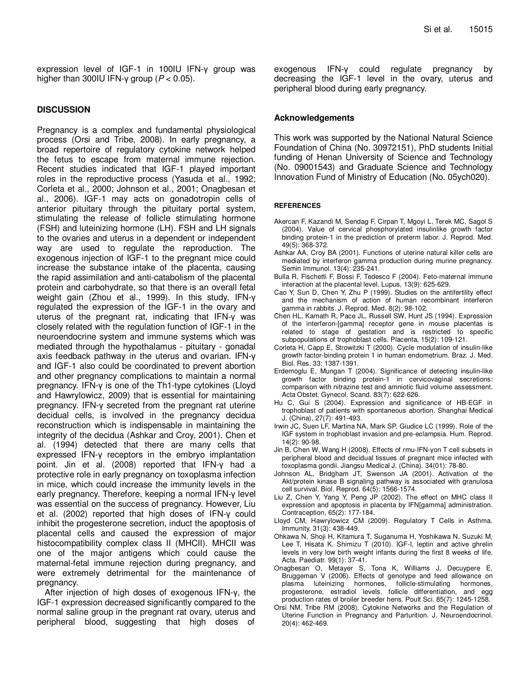expression level of IGF-1 in 100IU IFN-γ group was higher than 300IU IFN-γ group ( $P < 0.05$ ).

## **DISCUSSION**

Pregnancy is a complex and fundamental physiological process (Orsi and Tribe, 2008). In early pregnancy, a broad repertoire of regulatory cytokine network helped the fetus to escape from maternal immune rejection. Recent studies indicated that IGF-1 played important roles in the reproductive process (Yasuda et al., 1992; Corleta et al., 2000; Johnson et al., 2001; Onagbesan et al., 2006). IGF-1 may acts on gonadotropin cells of anterior pituitary through the pituitary portal system, stimulating the release of follicle stimulating hormone (FSH) and luteinizing hormone (LH). FSH and LH signals to the ovaries and uterus in a dependent or independent way are used to regulate the reproduction. The exogenous injection of IGF-1 to the pregnant mice could increase the substance intake of the placenta, causing the rapid assimilation and anti-catabolism of the placental protein and carbohydrate, so that there is an overall fetal weight gain (Zhou et al., 1999). In this study, IFN-γ regulated the expression of the IGF-1 in the ovary and uterus of the pregnant rat, indicating that IFN-γ was closely related with the regulation function of IGF-1 in the neuroendocrine system and immune systems which was mediated through the hypothalamus - pituitary - gonadal axis feedback pathway in the uterus and ovarian. IFN-γ and IGF-1 also could be coordinated to prevent abortion and other pregnancy complications to maintain a normal pregnancy. IFN-γ is one of the Th1-type cytokines (Lloyd and Hawrylowicz, 2009) that is essential for maintaining pregnancy. IFN-γ secreted from the pregnant rat uterine decidual cells, is involved in the pregnancy decidua reconstruction which is indispensable in maintaining the integrity of the decidua (Ashkar and Croy, 2001). Chen et al. (1994) detected that there are many cells that expressed IFN-γ receptors in the embryo implantation point. Jin et al. (2008) reported that IFN-γ had a protective role in early pregnancy on toxoplasma infection in mice, which could increase the immunity levels in the early pregnancy. Therefore, keeping a normal IFN-γ level was essential on the success of pregnancy. However, Liu et al. (2002) reported that high doses of IFN-γ could inhibit the progesterone secretion, induct the apoptosis of placental cells and caused the expression of major histocompatibility complex class II (MHCII). MHCII was one of the major antigens which could cause the maternal-fetal immune rejection during pregnancy, and were extremely detrimental for the maintenance of pregnancy.

After injection of high doses of exogenous IFN-γ, the IGF-1 expression decreased significantly compared to the normal saline group in the pregnant rat ovary, uterus and peripheral blood, suggesting that high doses of

exogenous IFN-γ could regulate pregnancy by decreasing the IGF-1 level in the ovary, uterus and peripheral blood during early pregnancy.

## **Acknowledgements**

This work was supported by the National Natural Science Foundation of China (No. 30972151), PhD students Initial funding of Henan University of Science and Technology (No. 09001543) and Graduate Science and Technology Innovation Fund of Ministry of Education (No. 05ych020).

### **REFERENCES**

- Akercan F, Kazandi M, Sendag F, Cirpan T, Mgoyi L, Terek MC, Sagol S (2004). Value of cervical phosphorylated insulinlike growth factor binding protein-1 in the prediction of preterm labor. J. Reprod. Med. 49(5): 368-372.
- Ashkar AA, Croy BA (2001). Functions of uterine natural killer cells are mediated by interferon gamma production during murine pregnancy. Semin Immunol. 13(4): 235-241.
- Bulla R, Fischetti F, Bossi F, Tedesco F (2004). Feto-maternal immune interaction at the placental level. Lupus, 13(9): 625-629.
- Cao Y, Sun D, Chen Y, Zhu P (1999). Studies on the antifertility effect and the mechanism of action of human recombinant interferon gamma in rabbits. J. Reprod. Med. 8(2): 98-102.
- Chen HL, Kamath R, Pace JL, Russell SW, Hunt JS (1994). Expression of the interferon-[gamma] receptor gene in mouse placentas is related to stage of gestation and is restricted to specific subpopulations of trophoblast cells. Placenta, 15(2): 109-121.
- Corleta H, Capp E, Strowitzki T (2000). Cycle modulation of insulin-like growth factor-binding protein 1 in human endometrium. Braz. J. Med. Biol. Res. 33: 1387-1391.
- Erdemoglu E, Mungan T (2004). Significance of detecting insulin-like growth factor binding protein-1 in cervicovaginal secretions: comparison with nitrazine test and amniotic fluid volume assessment. Acta Obstet. Gynecol. Scand. 83(7): 622-626.
- Hu C, Gui S (2004). Expression and significance of HB-EGF in trophoblast of patients with spontaneous abortion. Shanghai Medical J. (China), 27(7): 491-493.
- Irwin JC, Suen LF, Martina NA, Mark SP, Giudice LC (1999). Role of the IGF system in trophoblast invasion and pre-eclampsia. Hum. Reprod. 14(2): 90-98.
- Jin B, Chen W, Wang H (2008). Effects of rmu-IFN-γon T cell subsets in peripheral blood and decidual tissues of pregnant mice infected with toxoplasma gondii. Jiangsu Medical J. (China). 34(01): 78-80.
- Johnson AL, Bridgham JT, Swenson JA (2001). Activation of the Akt/protein kinase B signaling pathway is associated with granulosa cell survival. Biol. Reprod. 64(5): 1566-1574.
- Liu Z, Chen Y, Yang Y, Peng JP (2002). The effect on MHC class II expression and apoptosis in placenta by IFN[gamma] administration. Contraception, 65(2): 177-184.
- Lloyd CM, Hawrylowicz CM (2009). Regulatory T Cells in Asthma. Immunity, 31(3): 438-449.
- Ohkawa N, Shoji H, Kitamura T, Suganuma H, Yoshikawa N, Suzuki M, Lee T, Hisata K, Shimizu T (2010). IGF-I, leptin and active ghrelin levels in very low birth weight infants during the first 8 weeks of life. Acta. Paediatr. 99(1): 37-41.
- Onagbesan O, Metayer S, Tona K, Williams J, Decuypere E, Bruggeman V (2006). Effects of genotype and feed allowance on plasma luteinizing hormones, follicle-stimulating hormones, progesterone, estradiol levels, follicle differentiation, and egg production rates of broiler breeder hens. Poult Sci. 85(7): 1245-1258.
- Orsi NM, Tribe RM (2008). Cytokine Networks and the Regulation of Uterine Function in Pregnancy and Parturition. J. Neuroendocrinol. 20(4): 462-469.